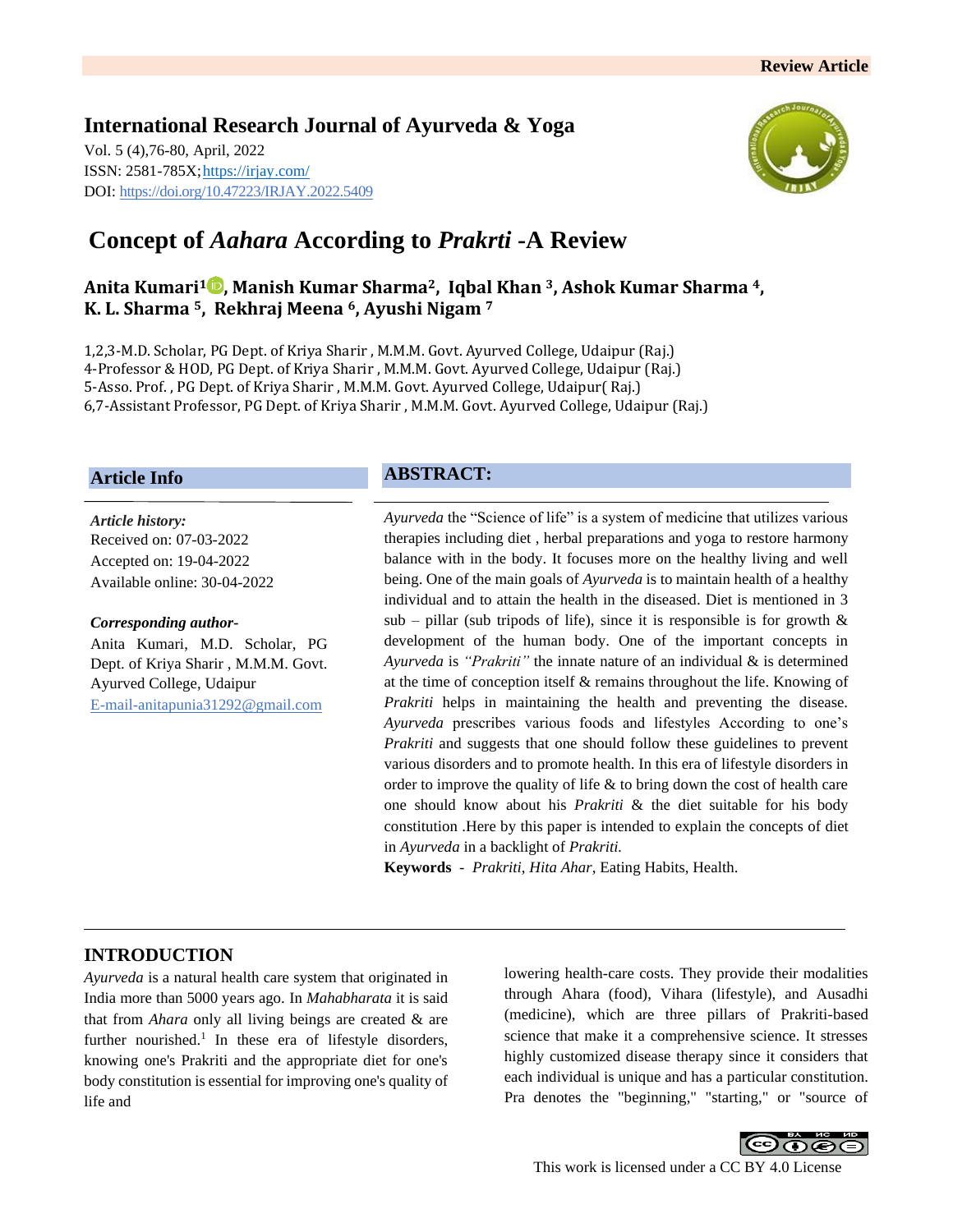# **International Research Journal of Ayurveda & Yoga**

Vol. 5 (4),76-80, April, 2022 ISSN: 2581-785X[; https://irjay.com/](https://irjay.com/) DOI: https://doi.org/10.47223/IRJAY.2022.5409



# **Concept of** *Aahara* **According to** *Prakrti* **-A Review**

## **Anita Kumari<sup>1</sup> , Manish Kumar Sharma2, Iqbal Khan 3, Ashok Kumar Sharma 4, K. L. Sharma 5, Rekhraj Meena 6, Ayushi Nigam <sup>7</sup>**

1,2,3-M.D. Scholar, PG Dept. of Kriya Sharir , M.M.M. Govt. Ayurved College, Udaipur (Raj.) 4-Professor & HOD, PG Dept. of Kriya Sharir , M.M.M. Govt. Ayurved College, Udaipur (Raj.) 5-Asso. Prof. , PG Dept. of Kriya Sharir , M.M.M. Govt. Ayurved College, Udaipur( Raj.) 6,7-Assistant Professor, PG Dept. of Kriya Sharir , M.M.M. Govt. Ayurved College, Udaipur (Raj.)

### **Article Info**

*Article history:* Received on: 07-03-2022 Accepted on: 19-04-2022 Available online: 30-04-2022

#### *Corresponding author-*

Anita Kumari, M.D. Scholar, PG Dept. of Kriya Sharir , M.M.M. Govt. Ayurved College, Udaipur E-mail-anitapunia31292@gmail.com

## **ABSTRACT:**

*Ayurveda* the "Science of life" is a system of medicine that utilizes various therapies including diet , herbal preparations and yoga to restore harmony balance with in the body. It focuses more on the healthy living and well being. One of the main goals of *Ayurveda* is to maintain health of a healthy individual and to attain the health in the diseased. Diet is mentioned in 3 sub – pillar (sub tripods of life), since it is responsible is for growth  $\&$ development of the human body. One of the important concepts in *Ayurveda* is *"Prakriti"* the innate nature of an individual & is determined at the time of conception itself & remains throughout the life. Knowing of *Prakriti* helps in maintaining the health and preventing the disease. *Ayurveda* prescribes various foods and lifestyles According to one's *Prakriti* and suggests that one should follow these guidelines to prevent various disorders and to promote health. In this era of lifestyle disorders in order to improve the quality of life  $\&$  to bring down the cost of health care one should know about his *Prakriti* & the diet suitable for his body constitution .Here by this paper is intended to explain the concepts of diet in *Ayurveda* in a backlight of *Prakriti.*

**Keywords** - *Prakriti*, *Hita Ahar*, Eating Habits, Health.

### **INTRODUCTION**

*Ayurveda* is a natural health care system that originated in India more than 5000 years ago. In *Mahabharata* it is said that from *Ahara* only all living beings are created & are further nourished.<sup>1</sup> In these era of lifestyle disorders, knowing one's Prakriti and the appropriate diet for one's body constitution is essential for improving one's quality of life and

lowering health-care costs. They provide their modalities through Ahara (food), Vihara (lifestyle), and Ausadhi (medicine), which are three pillars of Prakriti-based science that make it a comprehensive science. It stresses highly customized disease therapy since it considers that each individual is unique and has a particular constitution. Pra denotes the "beginning," "starting," or "source of

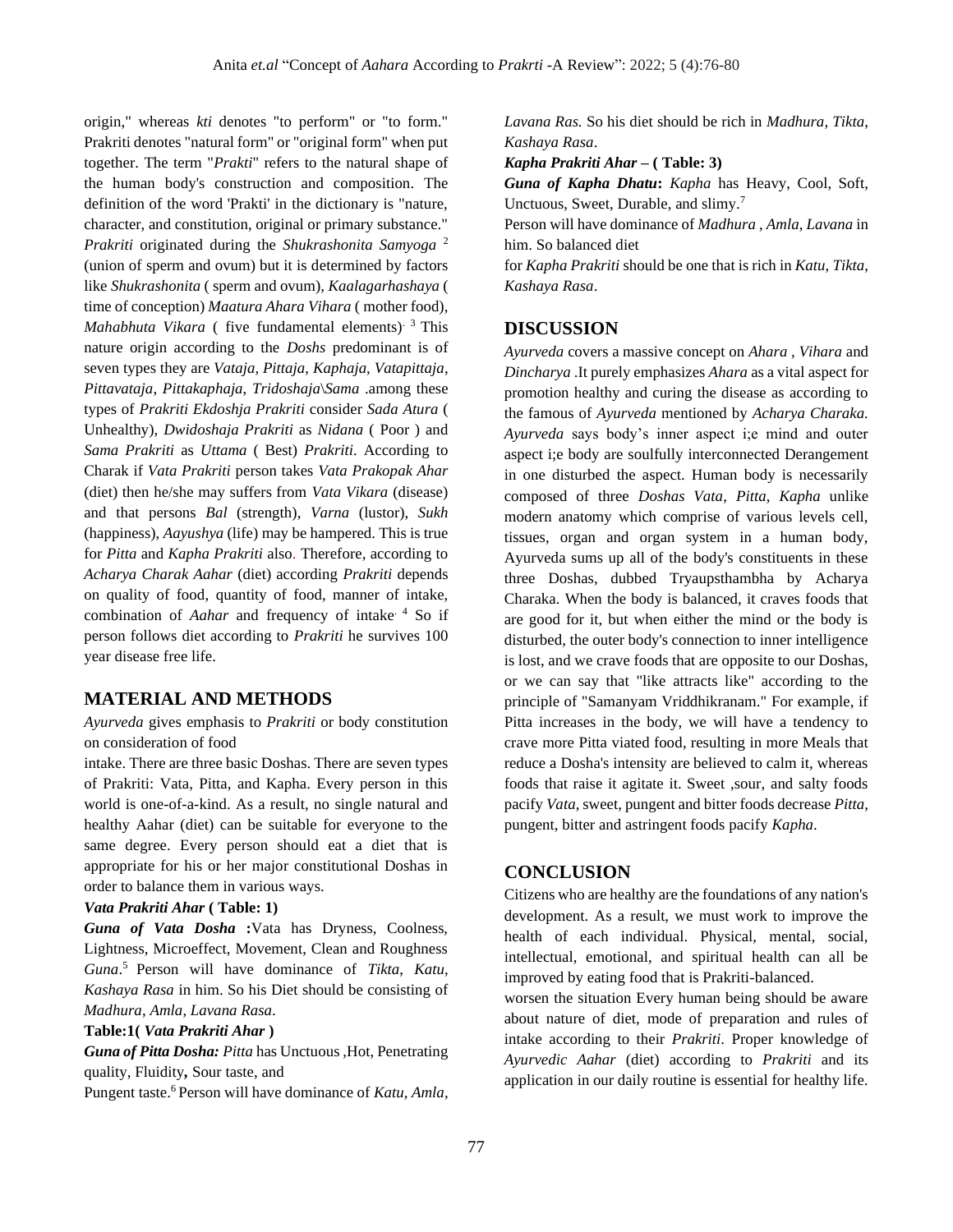origin," whereas *kti* denotes "to perform" or "to form." Prakriti denotes "natural form" or "original form" when put together. The term "*Prakti*" refers to the natural shape of the human body's construction and composition. The definition of the word 'Prakti' in the dictionary is "nature, character, and constitution, original or primary substance." *Prakriti* originated during the *Shukrashonita Samyoga* <sup>2</sup> (union of sperm and ovum) but it is determined by factors like *Shukrashonita* ( sperm and ovum), *Kaalagarhashaya* ( time of conception) *Maatura Ahara Vihara* ( mother food), *Mahabhuta Vikara* ( five fundamental elements). 3 This nature origin according to the *Doshs* predominant is of seven types they are *Vataja, Pittaja*, *Kaphaja*, *Vatapittaja*, *Pittavataja*, *Pittakaphaja*, *Tridoshaja*\*Sama* .among these types of *Prakriti Ekdoshja Prakriti* consider *Sada Atura* ( Unhealthy), *Dwidoshaja Prakriti* as *Nidana* ( Poor ) and *Sama Prakriti* as *Uttama* ( Best) *Prakriti*. According to Charak if *Vata Prakriti* person takes *Vata Prakopak Ahar*  (diet) then he/she may suffers from *Vata Vikara* (disease) and that persons *Bal* (strength), *Varna* (lustor), *Sukh*  (happiness), *Aayushya* (life) may be hampered. This is true for *Pitta* and *Kapha Prakriti* also. Therefore, according to *Acharya Charak Aahar* (diet) according *Prakriti* depends on quality of food, quantity of food, manner of intake, combination of *Aahar* and frequency of intake. 4 So if person follows diet according to *Prakriti* he survives 100 year disease free life.

#### **MATERIAL AND METHODS**

*Ayurveda* gives emphasis to *Prakriti* or body constitution on consideration of food

intake. There are three basic Doshas. There are seven types of Prakriti: Vata, Pitta, and Kapha. Every person in this world is one-of-a-kind. As a result, no single natural and healthy Aahar (diet) can be suitable for everyone to the same degree. Every person should eat a diet that is appropriate for his or her major constitutional Doshas in order to balance them in various ways.

#### *Vata Prakriti Ahar* **( Table: 1)**

*Guna of Vata Dosha* **:**Vata has Dryness, Coolness, Lightness, Microeffect, Movement, Clean and Roughness Guna.<sup>5</sup> Person will have dominance of *Tikta*, *Katu*, *Kashaya Rasa* in him. So his Diet should be consisting of *Madhura*, *Amla*, *Lavana Rasa*.

#### **Table:1(** *Vata Prakriti Ahar* **)**

*Guna of Pitta Dosha: Pitta* has Unctuous ,Hot, Penetrating quality, Fluidity*,* Sour taste, and

Pungent taste.<sup>6</sup> Person will have dominance of *Katu*, *Amla*,

*Lavana Ras.* So his diet should be rich in *Madhura, Tikta*, *Kashaya Rasa*.

*Kapha Prakriti Ahar* **– ( Table: 3)** 

*Guna of Kapha Dhatu***:** *Kapha* has Heavy, Cool, Soft, Unctuous, Sweet, Durable, and slimy.<sup>7</sup>

Person will have dominance of *Madhura* , *Amla*, *Lavana* in him. So balanced diet

for *Kapha Prakriti* should be one that is rich in *Katu*, *Tikta*, *Kashaya Rasa*.

### **DISCUSSION**

*Ayurveda* covers a massive concept on *Ahara , Vihara* and *Dincharya* .It purely emphasizes *Ahara* as a vital aspect for promotion healthy and curing the disease as according to the famous of *Ayurveda* mentioned by *Acharya Charaka. Ayurveda* says body's inner aspect i;e mind and outer aspect i;e body are soulfully interconnected Derangement in one disturbed the aspect. Human body is necessarily composed of three *Doshas Vata*, *Pitta*, *Kapha* unlike modern anatomy which comprise of various levels cell, tissues, organ and organ system in a human body, Ayurveda sums up all of the body's constituents in these three Doshas, dubbed Tryaupsthambha by Acharya Charaka. When the body is balanced, it craves foods that are good for it, but when either the mind or the body is disturbed, the outer body's connection to inner intelligence is lost, and we crave foods that are opposite to our Doshas, or we can say that "like attracts like" according to the principle of "Samanyam Vriddhikranam." For example, if Pitta increases in the body, we will have a tendency to crave more Pitta viated food, resulting in more Meals that reduce a Dosha's intensity are believed to calm it, whereas foods that raise it agitate it. Sweet ,sour, and salty foods pacify *Vata*, sweet, pungent and bitter foods decrease *Pitta*, pungent, bitter and astringent foods pacify *Kapha*.

### **CONCLUSION**

Citizens who are healthy are the foundations of any nation's development. As a result, we must work to improve the health of each individual. Physical, mental, social, intellectual, emotional, and spiritual health can all be improved by eating food that is Prakriti-balanced.

worsen the situation Every human being should be aware about nature of diet, mode of preparation and rules of intake according to their *Prakriti*. Proper knowledge of *Ayurvedic Aahar* (diet) according to *Prakriti* and its application in our daily routine is essential for healthy life.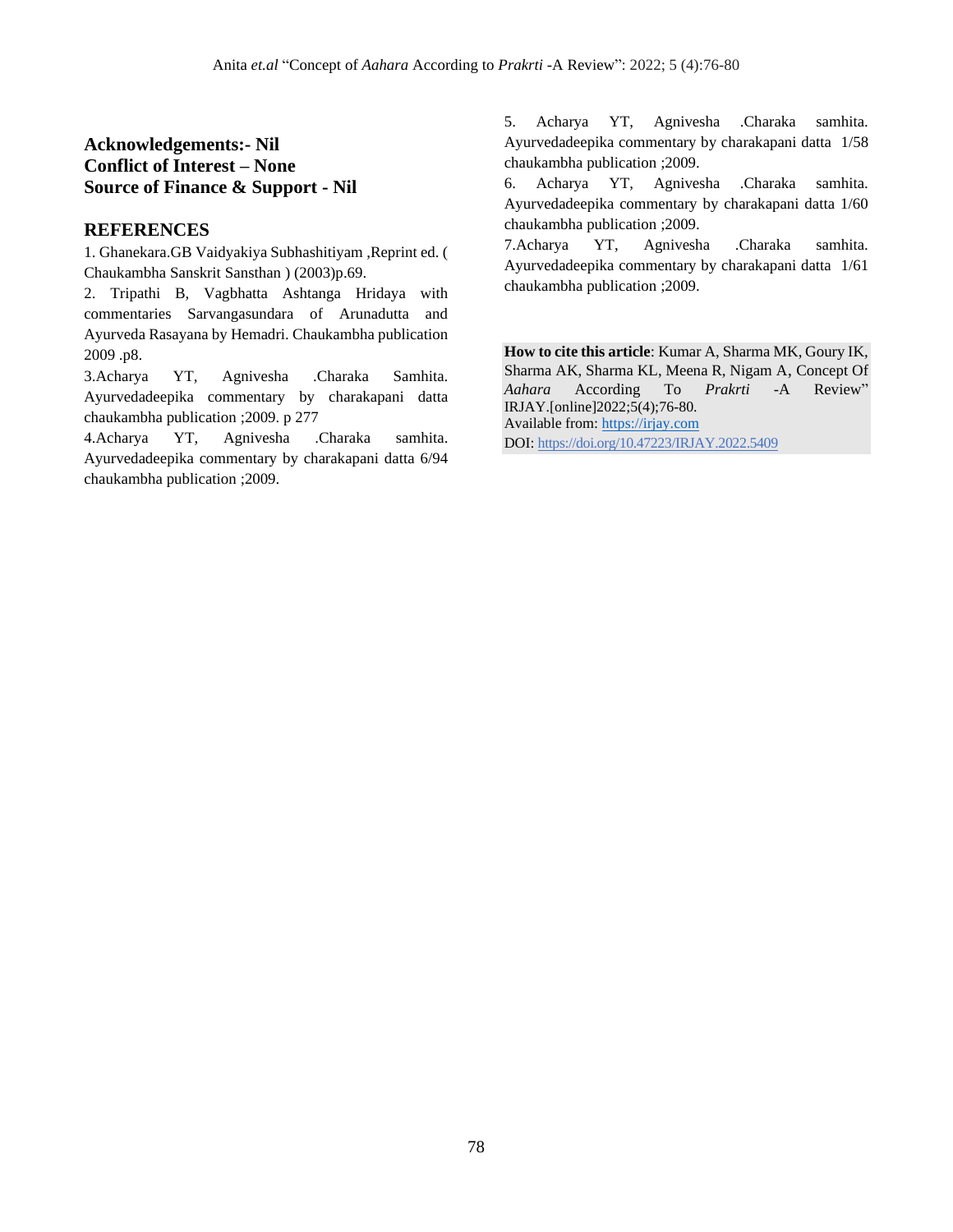# **Acknowledgements:- Nil Conflict of Interest – None Source of Finance & Support - Nil**

## **REFERENCES**

1. Ghanekara.GB Vaidyakiya Subhashitiyam ,Reprint ed. ( Chaukambha Sanskrit Sansthan ) (2003)p.69.

2. Tripathi B, Vagbhatta Ashtanga Hridaya with commentaries Sarvangasundara of Arunadutta and Ayurveda Rasayana by Hemadri. Chaukambha publication 2009 .p8.

3.Acharya YT, Agnivesha .Charaka Samhita. Ayurvedadeepika commentary by charakapani datta chaukambha publication ;2009. p 277

4.Acharya YT, Agnivesha .Charaka samhita. Ayurvedadeepika commentary by charakapani datta 6/94 chaukambha publication ;2009.

5. Acharya YT, Agnivesha .Charaka samhita. Ayurvedadeepika commentary by charakapani datta 1/58 chaukambha publication ;2009.

6. Acharya YT, Agnivesha .Charaka samhita. Ayurvedadeepika commentary by charakapani datta 1/60 chaukambha publication ;2009.

7.Acharya YT, Agnivesha .Charaka samhita. Ayurvedadeepika commentary by charakapani datta 1/61 chaukambha publication ;2009.

**How to cite this article**: Kumar A, Sharma MK, Goury IK, Sharma AK, Sharma KL, Meena R, Nigam A, Concept Of *Aahara* According To *Prakrti* -A Review" IRJAY.[online]2022;5(4);76-80. Available from: [https://irjay.com](https://irjay.com/) DOI: https://doi.org/10.47223/IRJAY.2022.5409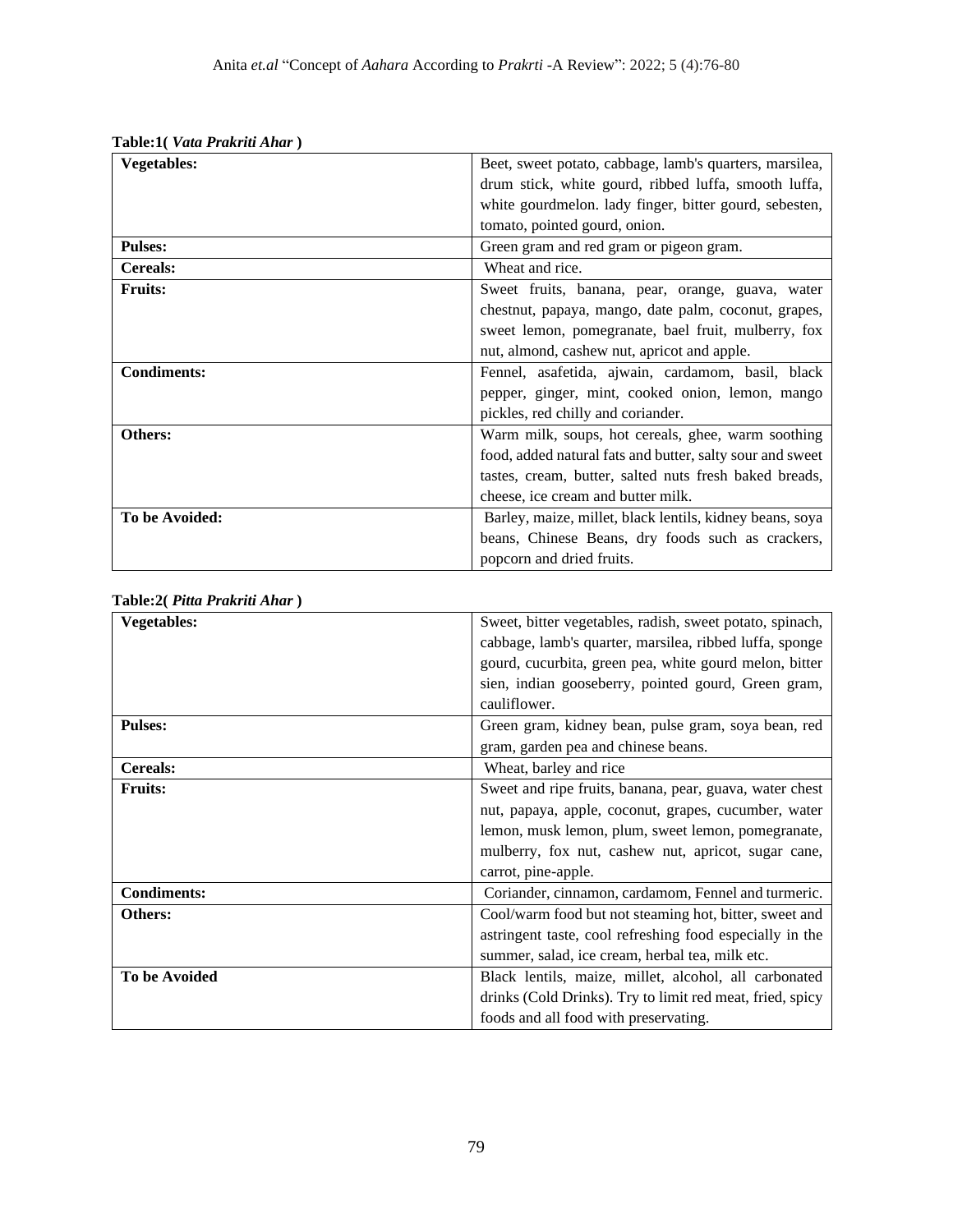| <b>Vegetables:</b> | Beet, sweet potato, cabbage, lamb's quarters, marsilea,   |
|--------------------|-----------------------------------------------------------|
|                    | drum stick, white gourd, ribbed luffa, smooth luffa,      |
|                    | white gourdmelon. lady finger, bitter gourd, sebesten,    |
|                    | tomato, pointed gourd, onion.                             |
| <b>Pulses:</b>     | Green gram and red gram or pigeon gram.                   |
| <b>Cereals:</b>    | Wheat and rice.                                           |
| <b>Fruits:</b>     | Sweet fruits, banana, pear, orange, guava, water          |
|                    | chestnut, papaya, mango, date palm, coconut, grapes,      |
|                    | sweet lemon, pomegranate, bael fruit, mulberry, fox       |
|                    | nut, almond, cashew nut, apricot and apple.               |
| <b>Condiments:</b> | Fennel, asafetida, ajwain, cardamom, basil, black         |
|                    | pepper, ginger, mint, cooked onion, lemon, mango          |
|                    | pickles, red chilly and coriander.                        |
| Others:            | Warm milk, soups, hot cereals, ghee, warm soothing        |
|                    | food, added natural fats and butter, salty sour and sweet |
|                    | tastes, cream, butter, salted nuts fresh baked breads,    |
|                    | cheese, ice cream and butter milk.                        |
| To be Avoided:     | Barley, maize, millet, black lentils, kidney beans, soya  |
|                    | beans, Chinese Beans, dry foods such as crackers,         |
|                    | popcorn and dried fruits.                                 |

| Table:1( <i>Vata Prakriti Ahar</i> ) |  |  |
|--------------------------------------|--|--|
|                                      |  |  |

| Table:2(Pitta Prakriti Ahar) |  |  |  |  |  |
|------------------------------|--|--|--|--|--|
|------------------------------|--|--|--|--|--|

| <b>Vegetables:</b>   | Sweet, bitter vegetables, radish, sweet potato, spinach,  |
|----------------------|-----------------------------------------------------------|
|                      | cabbage, lamb's quarter, marsilea, ribbed luffa, sponge   |
|                      | gourd, cucurbita, green pea, white gourd melon, bitter    |
|                      | sien, indian gooseberry, pointed gourd, Green gram,       |
|                      | cauliflower.                                              |
| <b>Pulses:</b>       | Green gram, kidney bean, pulse gram, soya bean, red       |
|                      | gram, garden pea and chinese beans.                       |
| <b>Cereals:</b>      | Wheat, barley and rice                                    |
| <b>Fruits:</b>       | Sweet and ripe fruits, banana, pear, guava, water chest   |
|                      | nut, papaya, apple, coconut, grapes, cucumber, water      |
|                      | lemon, musk lemon, plum, sweet lemon, pomegranate,        |
|                      | mulberry, fox nut, cashew nut, apricot, sugar cane,       |
|                      | carrot, pine-apple.                                       |
| <b>Condiments:</b>   | Coriander, cinnamon, cardamom, Fennel and turmeric.       |
| Others:              | Cool/warm food but not steaming hot, bitter, sweet and    |
|                      | astringent taste, cool refreshing food especially in the  |
|                      | summer, salad, ice cream, herbal tea, milk etc.           |
| <b>To be Avoided</b> | Black lentils, maize, millet, alcohol, all carbonated     |
|                      | drinks (Cold Drinks). Try to limit red meat, fried, spicy |
|                      | foods and all food with preservating.                     |
|                      |                                                           |